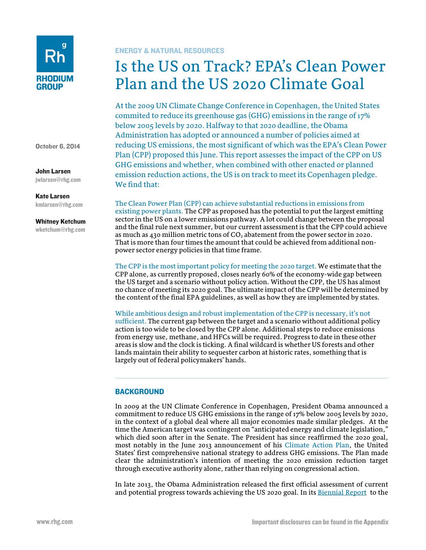

October 6, 2014

John Larsen

jwlarsen@rhg.com

Kate Larsen kmlarsen@rhg.com

#### Whitney Ketchum

wketchum@rhg.com

## ENERGY & NATURAL RESOURCES

# Is the US on Track? EPA's Clean Power Plan and the US 2020 Climate Goal

At the 2009 UN Climate Change Conference in Copenhagen, the United States commited to reduce its greenhouse gas (GHG) emissions in the range of 17% below 2005 levels by 2020. Halfway to that 2020 deadline, the Obama Administration has adopted or announced a number of policies aimed at reducing US emissions, the most significant of which was the EPA's Clean Power Plan (CPP) proposed this June. This report assesses the impact of the CPP on US GHG emissions and whether, when combined with other enacted or planned emission reduction actions, the US is on track to meet its Copenhagen pledge. We find that:

The Clean Power Plan (CPP) can achieve substantial reductions in emissions from existing power plants. The CPP as proposed has the potential to put the largest emitting sector in the US on a lower emissions pathway. A lot could change between the proposal and the final rule next summer, but our current assessment is that the CPP could achieve as much as 430 million metric tons of  $CO<sub>2</sub>$  abatement from the power sector in 2020. That is more than four times the amount that could be achieved from additional nonpower sector energy policies in that time frame.

The CPP is the most important policy for meeting the 2020 target. We estimate that the CPP alone, as currently proposed, closes nearly 60% of the economy-wide gap between the US target and a scenario without policy action. Without the CPP, the US has almost no chance of meeting its 2020 goal. The ultimate impact of the CPP will be determined by the content of the final EPA guidelines, as well as how they are implemented by states.

While ambitious design and robust implementation of the CPP is necessary, it's not sufficient. The current gap between the target and a scenario without additional policy action is too wide to be closed by the CPP alone. Additional steps to reduce emissions from energy use, methane, and HFCs will be required. Progress to date in these other areas is slow and the clock is ticking. A final wildcard is whether US forests and other lands maintain their ability to sequester carbon at historic rates, something that is largely out of federal policymakers' hands.

## **BACKGROUND**

In 2009 at the UN Climate Conference in Copenhagen, President Obama announced a commitment to reduce US GHG emissions in the range of 17% below 2005 levels by 2020, in the context of a global deal where all major economies made similar pledges. At the time the American target was contingent on "anticipated energy and climate legislation," which died soon after in the Senate. The President has since reaffirmed the 2020 goal, most notably in the June 2013 announcement of his [Climate Action Plan,](http://www.whitehouse.gov/sites/default/files/image/president27sclimateactionplan.pdf) the United States' first comprehensive national strategy to address GHG emissions. The Plan made clear the administration's intention of meeting the 2020 emission reduction target through executive authority alone, rather than relying on congressional action.

In late 2013, the Obama Administration released the first official assessment of current and potential progress towards achieving the US 2020 goal. In its [Biennial Report](http://www.state.gov/documents/organization/219039.pdf) to the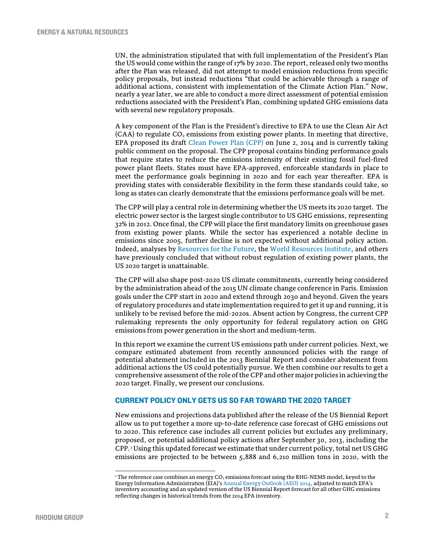UN, the administration stipulated that with full implementation of the President's Plan the US would come within the range of 17% by 2020. The report, released only two months after the Plan was released, did not attempt to model emission reductions from specific policy proposals, but instead reductions "that could be achievable through a range of additional actions, consistent with implementation of the Climate Action Plan." Now, nearly a year later, we are able to conduct a more direct assessment of potential emission reductions associated with the President's Plan, combining updated GHG emissions data with several new regulatory proposals.

A key component of the Plan is the President's directive to EPA to use the Clean Air Act  $(CAA)$  to regulate  $CO<sub>2</sub>$  emissions from existing power plants. In meeting that directive, EPA proposed its draft [Clean Power Plan \(CPP\)](http://www2.epa.gov/carbon-pollution-standards/clean-power-plan-proposed-rule) on June 2, 2014 and is currently taking public comment on the proposal. The CPP proposal contains binding performance goals that require states to reduce the emissions intensity of their existing fossil fuel-fired power plant fleets. States must have EPA-approved, enforceable standards in place to meet the performance goals beginning in 2020 and for each year thereafter. EPA is providing states with considerable flexibility in the form these standards could take, so long as states can clearly demonstrate that the emissions performance goals will be met.

The CPP will play a central role in determining whether the US meets its 2020 target. The electric power sector is the largest single contributor to US GHG emissions, representing 32% in 2012. Once final, the CPP will place the first mandatory limits on greenhouse gases from existing power plants. While the sector has experienced a notable decline in emissions since 2005, further decline is not expected without additional policy action. Indeed, analyses by [Resources for the Future,](http://www.rff.org/RFF/Documents/RFF-DP-12-48.pdf) the [World Resources Institute,](http://www.wri.org/publication/can-us-get-there-here) and others have previously concluded that without robust regulation of existing power plants, the US 2020 target is unattainable.

The CPP will also shape post-2020 US climate commitments, currently being considered by the administration ahead of the 2015 UN climate change conference in Paris. Emission goals under the CPP start in 2020 and extend through 2030 and beyond. Given the years of regulatory procedures and state implementation required to get it up and running, it is unlikely to be revised before the mid-2020s. Absent action by Congress, the current CPP rulemaking represents the only opportunity for federal regulatory action on GHG emissions from power generation in the short and medium-term.

In this report we examine the current US emissions path under current policies. Next, we compare estimated abatement from recently announced policies with the range of potential abatement included in the 2013 Biennial Report and consider abatement from additional actions the US could potentially pursue. We then combine our results to get a comprehensive assessment of the role of the CPP and other major policies in achieving the 2020 target. Finally, we present our conclusions.

## CURRENT POLICY ONLY GETS US SO FAR TOWARD THE 2020 TARGET

New emissions and projections data published after the release of the US Biennial Report allow us to put together a more up-to-date reference case forecast of GHG emissions out to 2020. This reference case includes all current policies but excludes any preliminary, proposed, or potential additional policy actions after September 30, 2013, including the CPP.[1](#page-1-0) Using this updated forecast we estimate that under current policy, total net US GHG emissions are projected to be between 5,888 and 6,210 million tons in 2020, with the

.

<span id="page-1-0"></span> $1$  The reference case combines an energy CO<sub>2</sub> emissions forecast using the RHG-NEMS model, keyed to the Energy Information Administration (EIA)'[s Annual Energy Outlook \(AEO\)](http://www.eia.gov/forecasts/aeo/) 2014, adjusted to match EPA's inventory accounting and an updated version of the US Biennial Report forecast for all other GHG emissions reflecting changes in historical trends from the 2014 EPA inventory.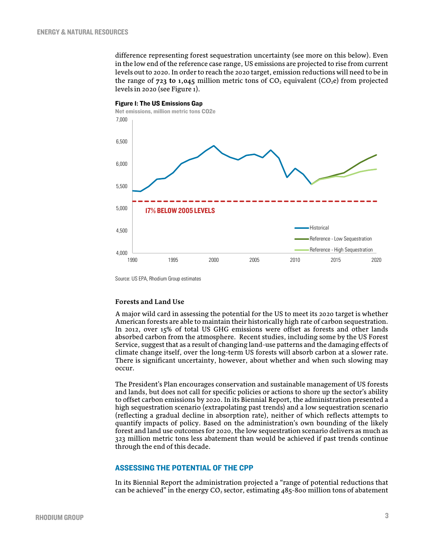difference representing forest sequestration uncertainty (see more on this below). Even in the low end of the reference case range, US emissions are projected to rise from current levels out to 2020. In order to reach the 2020 target, emission reductions will need to be in the range of  $723$  to 1,045 million metric tons of  $CO<sub>2</sub>$  equivalent ( $CO<sub>2</sub>e$ ) from projected levels in 2020 (se[e Figure 1\)](#page-2-0).



<span id="page-2-0"></span>Figure 1: The US Emissions Gap

Source: US EPA, Rhodium Group estimates

#### **Forests and Land Use**

A major wild card in assessing the potential for the US to meet its 2020 target is whether American forests are able to maintain their historically high rate of carbon sequestration. In 2012, over 15% of total US GHG emissions were offset as forests and other lands absorbed carbon from the atmosphere. Recent studies, including some by the US Forest Service, suggest that as a result of changing land-use patterns and the damaging effects of climate change itself, over the long-term US forests will absorb carbon at a slower rate. There is significant uncertainty, however, about whether and when such slowing may occur.

The President's Plan encourages conservation and sustainable management of US forests and lands, but does not call for specific policies or actions to shore up the sector's ability to offset carbon emissions by 2020. In its Biennial Report, the administration presented a high sequestration scenario (extrapolating past trends) and a low sequestration scenario (reflecting a gradual decline in absorption rate), neither of which reflects attempts to quantify impacts of policy. Based on the administration's own bounding of the likely forest and land use outcomes for 2020, the low sequestration scenario delivers as much as 323 million metric tons less abatement than would be achieved if past trends continue through the end of this decade.

#### ASSESSING THE POTENTIAL OF THE CPP

In its Biennial Report the administration projected a "range of potential reductions that can be achieved" in the energy  $CO<sub>2</sub>$  sector, estimating 485-800 million tons of abatement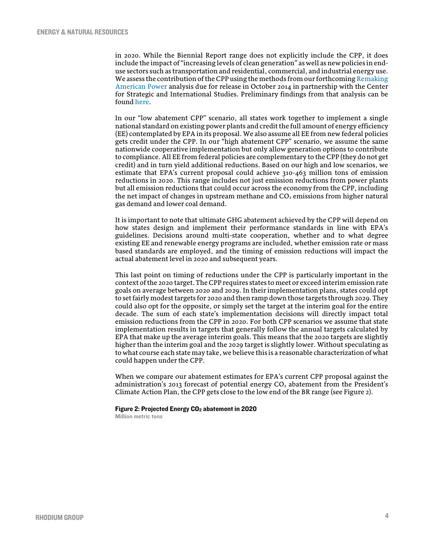in 2020. While the Biennial Report range does not explicitly include the CPP, it does include the impact of "increasing levels of clean generation" as well as new policies in enduse sectors such as transportation and residential, commercial, and industrial energy use. We assess the contribution of the CPP using the methods from our forthcoming Remaking [American Power](http://csis.org/event/remaking-american-power) analysis due for release in October 2014 in partnership with the Center for Strategic and International Studies. Preliminary findings from that analysis can be foun[d here.](http://csis.org/files/attachments/140724_RemakingAmericanPower_2.pdf)

In our "low abatement CPP" scenario, all states work together to implement a single national standard on existing power plants and credit the full amount of energy efficiency (EE) contemplated by EPA in its proposal. We also assume all EE from new federal policies gets credit under the CPP. In our "high abatement CPP" scenario, we assume the same nationwide cooperative implementation but only allow generation options to contribute to compliance. All EE from federal policies are complementary to the CPP (they do not get credit) and in turn yield additional reductions. Based on our high and low scenarios, we estimate that EPA's current proposal could achieve 310-463 million tons of emission reductions in 2020. This range includes not just emission reductions from power plants but all emission reductions that could occur across the economy from the CPP, including the net impact of changes in upstream methane and  $CO<sub>2</sub>$  emissions from higher natural gas demand and lower coal demand.

It is important to note that ultimate GHG abatement achieved by the CPP will depend on how states design and implement their performance standards in line with EPA's guidelines. Decisions around multi-state cooperation, whether and to what degree existing EE and renewable energy programs are included, whether emission rate or mass based standards are employed, and the timing of emission reductions will impact the actual abatement level in 2020 and subsequent years.

This last point on timing of reductions under the CPP is particularly important in the context of the 2020 target. The CPP requires states to meet or exceed interim emission rate goals on average between 2020 and 2029. In their implementation plans, states could opt to set fairly modest targets for 2020 and then ramp down those targets through 2029. They could also opt for the opposite, or simply set the target at the interim goal for the entire decade. The sum of each state's implementation decisions will directly impact total emission reductions from the CPP in 2020. For both CPP scenarios we assume that state implementation results in targets that generally follow the annual targets calculated by EPA that make up the average interim goals. This means that the 2020 targets are slightly higher than the interim goal and the 2029 target is slightly lower. Without speculating as to what course each state may take, we believe this is a reasonable characterization of what could happen under the CPP.

When we compare our abatement estimates for EPA's current CPP proposal against the administration's 2013 forecast of potential energy  $CO<sub>2</sub>$  abatement from the President's Climate Action Plan, the CPP gets close to the low end of the BR range (see Figure 2).

#### Figure 2: Projected Energy CO<sub>2</sub> abatement in 2020

Million metric tons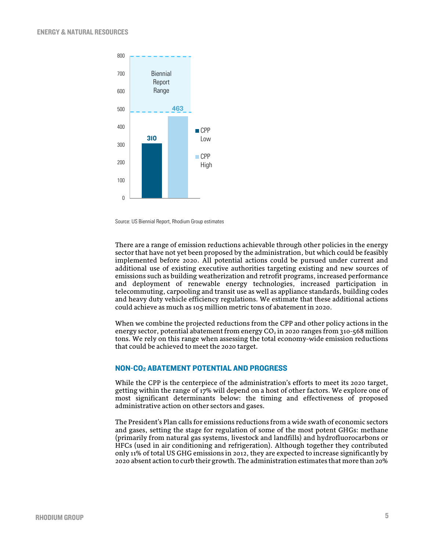

Source: US Biennial Report, Rhodium Group estimates

There are a range of emission reductions achievable through other policies in the energy sector that have not yet been proposed by the administration, but which could be feasibly implemented before 2020. All potential actions could be pursued under current and additional use of existing executive authorities targeting existing and new sources of emissions such as building weatherization and retrofit programs, increased performance and deployment of renewable energy technologies, increased participation in telecommuting, carpooling and transit use as well as appliance standards, building codes and heavy duty vehicle efficiency regulations. We estimate that these additional actions could achieve as much as 105 million metric tons of abatement in 2020.

When we combine the projected reductions from the CPP and other policy actions in the energy sector, potential abatement from energy  $CO<sub>2</sub>$  in 2020 ranges from 310-568 million tons. We rely on this range when assessing the total economy-wide emission reductions that could be achieved to meet the 2020 target.

#### NON-CO2 ABATEMENT POTENTIAL AND PROGRESS

While the CPP is the centerpiece of the administration's efforts to meet its 2020 target, getting within the range of 17% will depend on a host of other factors. We explore one of most significant determinants below: the timing and effectiveness of proposed administrative action on other sectors and gases.

The President's Plan calls for emissions reductions from a wide swath of economic sectors and gases, setting the stage for regulation of some of the most potent GHGs: methane (primarily from natural gas systems, livestock and landfills) and hydrofluorocarbons or HFCs (used in air conditioning and refrigeration). Although together they contributed only 11% of total US GHG emissions in 2012, they are expected to increase significantly by 2020 absent action to curb their growth. The administration estimates that more than 20%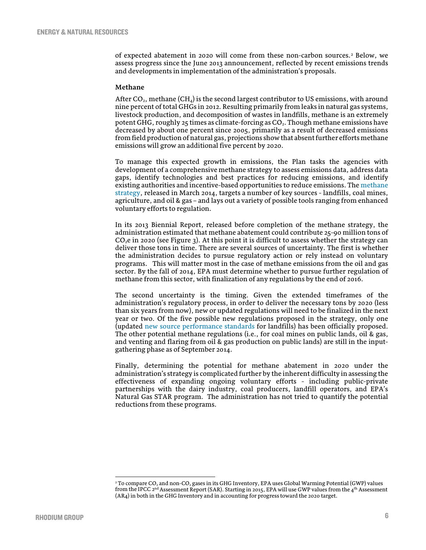of expected abatement in 2020 will come from these non-carbon sources.[2](#page-5-0) Below, we assess progress since the June 2013 announcement, reflected by recent emissions trends and developments in implementation of the administration's proposals.

#### **Methane**

After CO<sub>2</sub>, methane (CH<sub>4</sub>) is the second largest contributor to US emissions, with around nine percent of total GHGs in 2012. Resulting primarily from leaks in natural gas systems, livestock production, and decomposition of wastes in landfills, methane is an extremely potent GHG, roughly 25 times as climate-forcing as  $CO<sub>2</sub>$ . Though methane emissions have decreased by about one percent since 2005, primarily as a result of decreased emissions from field production of natural gas, projections show that absent further efforts methane emissions will grow an additional five percent by 2020.

To manage this expected growth in emissions, the Plan tasks the agencies with development of a comprehensive methane strategy to assess emissions data, address data gaps, identify technologies and best practices for reducing emissions, and identify existing authorities and incentive-based opportunities to reduce emissions. Th[e methane](http://www.whitehouse.gov/sites/default/files/strategy_to_reduce_methane_emissions_2014-03-28_final.pdf)  [strategy,](http://www.whitehouse.gov/sites/default/files/strategy_to_reduce_methane_emissions_2014-03-28_final.pdf) released in March 2014, targets a number of key sources - landfills, coal mines, agriculture, and oil & gas – and lays out a variety of possible tools ranging from enhanced voluntary efforts to regulation.

In its 2013 Biennial Report, released before completion of the methane strategy, the administration estimated that methane abatement could contribute 25-90 million tons of  $CO<sub>2</sub>e$  in 2020 (see Figure 3). At this point it is difficult to assess whether the strategy can deliver those tons in time. There are several sources of uncertainty. The first is whether the administration decides to pursue regulatory action or rely instead on voluntary programs. This will matter most in the case of methane emissions from the oil and gas sector. By the fall of 2014, EPA must determine whether to pursue further regulation of methane from this sector, with finalization of any regulations by the end of 2016.

The second uncertainty is the timing. Given the extended timeframes of the administration's regulatory process, in order to deliver the necessary tons by 2020 (less than six years from now), new or updated regulations will need to be finalized in the next year or two. Of the five possible new regulations proposed in the strategy, only one (updated [new source performance standards](http://www.epa.gov/ttn/caaa/t3/fr_notices/landfills060831.pdf) for landfills) has been officially proposed. The other potential methane regulations (i.e., for coal mines on public lands, oil & gas, and venting and flaring from oil & gas production on public lands) are still in the inputgathering phase as of September 2014.

Finally, determining the potential for methane abatement in 2020 under the administration's strategy is complicated further by the inherent difficulty in assessing the effectiveness of expanding ongoing voluntary efforts - including public-private partnerships with the dairy industry, coal producers, landfill operators, and EPA's Natural Gas STAR program. The administration has not tried to quantify the potential reductions from these programs.

.

<span id="page-5-0"></span> $2$  To compare CO<sub>2</sub> and non-CO<sub>2</sub> gases in its GHG Inventory, EPA uses Global Warming Potential (GWP) values from the IPCC 2<sup>nd</sup> Assessment Report (SAR). Starting in 2015, EPA will use GWP values from the 4<sup>th</sup> Assessment (AR4) in both in the GHG Inventory and in accounting for progress toward the 2020 target.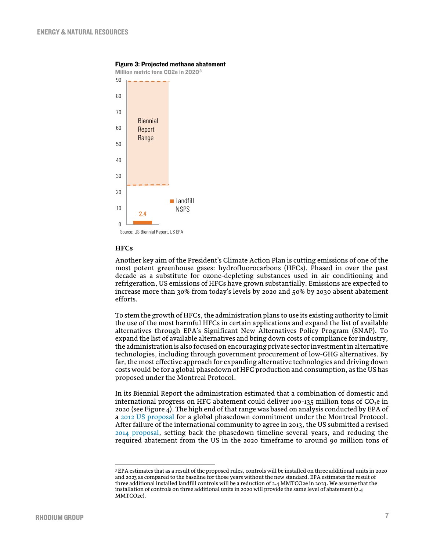

#### Figure 3: Projected methane abatement

#### **HFCs**

.

Another key aim of the President's Climate Action Plan is cutting emissions of one of the most potent greenhouse gases: hydrofluorocarbons (HFCs). Phased in over the past decade as a substitute for ozone-depleting substances used in air conditioning and refrigeration, US emissions of HFCs have grown substantially. Emissions are expected to increase more than 30% from today's levels by 2020 and 50% by 2030 absent abatement efforts.

To stem the growth of HFCs, the administration plans to use its existing authority to limit the use of the most harmful HFCs in certain applications and expand the list of available alternatives through EPA's Significant New Alternatives Policy Program (SNAP). To expand the list of available alternatives and bring down costs of compliance for industry, the administration is also focused on encouraging private sector investment in alternative technologies, including through government procurement of low-GHG alternatives. By far, the most effective approach for expanding alternative technologies and driving down costs would be for a global phasedown of HFC production and consumption, as the US has proposed under the Montreal Protocol.

In its Biennial Report the administration estimated that a combination of domestic and international progress on HFC abatement could deliver 100-135 million tons of  $CO<sub>2</sub>e$  in 2020 (see Figure 4). The high end of that range was based on analysis conducted by EPA of a [2012 US proposal](http://www.epa.gov/ozone/downloads/Benefits%20of%20Addressing%20HFCs%20Under%20the%20Montreal%20Protocol,%20June%202012.pdf) for a global phasedown commitment under the Montreal Protocol. After failure of the international community to agree in 2013, the US submitted a revised [2014 proposal,](http://www.epa.gov/ozone/downloads/HFC_Amendment_2014_Summary.pdf) setting back the phasedown timeline several years, and reducing the required abatement from the US in the 2020 timeframe to around 90 million tons of

<span id="page-6-0"></span><sup>3</sup> EPA estimates that as a result of the proposed rules, controls will be installed on three additional units in 2020 and 2023 as compared to the baseline for those years without the new standard. EPA estimates the result of three additional installed landfill controls will be a reduction of 2.4 MMTCO2e in 2023. We assume that the installation of controls on three additional units in 2020 will provide the same level of abatement (2.4 MMTCO<sub>2e</sub>)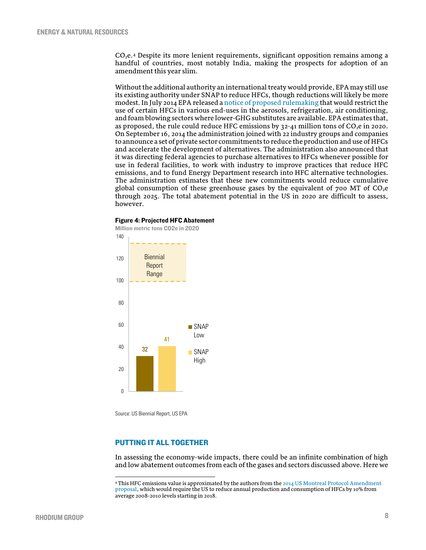$CO<sub>2</sub>e<sub>4</sub>$  $CO<sub>2</sub>e<sub>4</sub>$  $CO<sub>2</sub>e<sub>4</sub>$  Despite its more lenient requirements, significant opposition remains among a handful of countries, most notably India, making the prospects for adoption of an amendment this year slim.

Without the additional authority an international treaty would provide, EPA may still use its existing authority under SNAP to reduce HFCs, though reductions will likely be more modest. In July 2014 EPA released [a notice of proposed rulemaking](http://www.gpo.gov/fdsys/pkg/FR-2014-08-06/pdf/2014-18494.pdf) that would restrict the use of certain HFCs in various end-uses in the aerosols, refrigeration, air conditioning, and foam blowing sectors where lower-GHG substitutes are available. EPA estimates that, as proposed, the rule could reduce HFC emissions by  $32-41$  million tons of CO<sub>2</sub>e in 2020. On September 16, 2014 the administration joined with 22 industry groups and companies to announce a set of private sector commitments to reduce the production and use of HFCs and accelerate the development of alternatives. The administration also announced that it was directing federal agencies to purchase alternatives to HFCs whenever possible for use in federal facilities, to work with industry to improve practices that reduce HFC emissions, and to fund Energy Department research into HFC alternative technologies. The administration estimates that these new commitments would reduce cumulative global consumption of these greenhouse gases by the equivalent of  $700$  MT of  $CO<sub>2</sub>e$ through 2025. The total abatement potential in the US in 2020 are difficult to assess, however.

#### Figure 4: Projected HFC Abatement



Source: US Biennial Report, US EPA

.

## PUTTING IT ALL TOGETHER

In assessing the economy-wide impacts, there could be an infinite combination of high and low abatement outcomes from each of the gases and sectors discussed above. Here we

<span id="page-7-0"></span> $4$  This HFC emissions value is approximated by the authors from the 2014 US Montreal Protocol Amendment [proposal,](http://www.epa.gov/ozone/downloads/HFC_Amendment_2014_Summary.pdf) which would require the US to reduce annual production and consumption of HFCs by 10% from average 2008-2010 levels starting in 2018.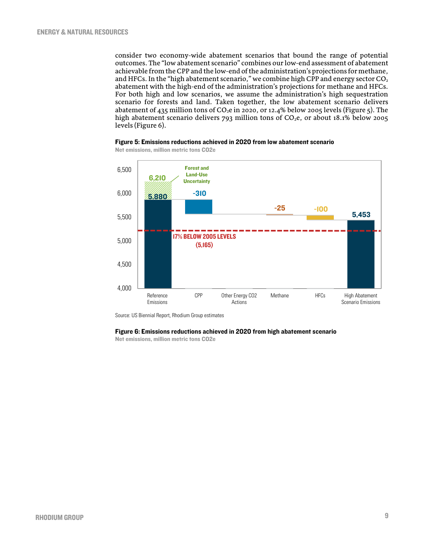consider two economy-wide abatement scenarios that bound the range of potential outcomes. The "low abatement scenario" combines our low-end assessment of abatement achievable from the CPP and the low-end of the administration's projections for methane, and HFCs. In the "high abatement scenario," we combine high CPP and energy sector  $CO<sub>2</sub>$ abatement with the high-end of the administration's projections for methane and HFCs. For both high and low scenarios, we assume the administration's high sequestration scenario for forests and land. Taken together, the low abatement scenario delivers abatement of 435 million tons of  $CO<sub>2</sub>e$  in 2020, or 12.4% below 2005 levels (Figure 5). The high abatement scenario delivers 793 million tons of CO<sub>2</sub>e, or about 18.1% below 2005 levels (Figure 6).





Net emissions, million metric tons CO2e

Source: US Biennial Report, Rhodium Group estimates

#### Figure 6: Emissions reductions achieved in 2020 from high abatement scenario

Net emissions, million metric tons CO2e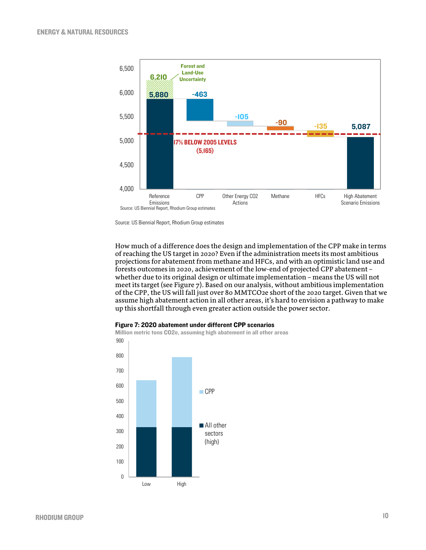

Source: US Biennial Report, Rhodium Group estimates

How much of a difference does the design and implementation of the CPP make in terms of reaching the US target in 2020? Even if the administration meets its most ambitious projections for abatement from methane and HFCs, and with an optimistic land use and forests outcomes in 2020, achievement of the low-end of projected CPP abatement – whether due to its original design or ultimate implementation – means the US will not meet its target (see Figure 7). Based on our analysis, without ambitious implementation of the CPP, the US will fall just over 80 MMTCO2e short of the 2020 target. Given that we assume high abatement action in all other areas, it's hard to envision a pathway to make up this shortfall through even greater action outside the power sector.



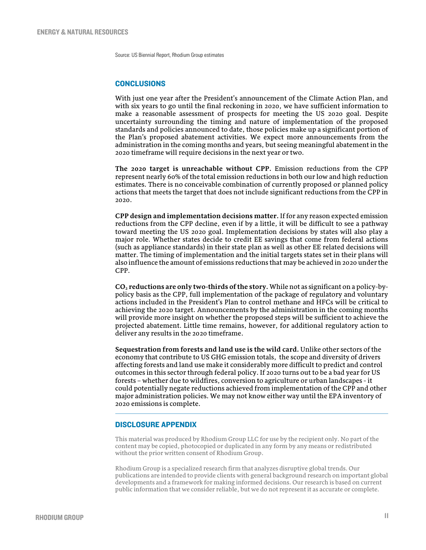Source: US Biennial Report, Rhodium Group estimates

### **CONCLUSIONS**

With just one year after the President's announcement of the Climate Action Plan, and with six years to go until the final reckoning in 2020, we have sufficient information to make a reasonable assessment of prospects for meeting the US 2020 goal. Despite uncertainty surrounding the timing and nature of implementation of the proposed standards and policies announced to date, those policies make up a significant portion of the Plan's proposed abatement activities. We expect more announcements from the administration in the coming months and years, but seeing meaningful abatement in the 2020 timeframe will require decisions in the next year or two.

**The 2020 target is unreachable without CPP.** Emission reductions from the CPP represent nearly 60% of the total emission reductions in both our low and high reduction estimates. There is no conceivable combination of currently proposed or planned policy actions that meets the target that does not include significant reductions from the CPP in 2020.

**CPP design and implementation decisions matter.** If for any reason expected emission reductions from the CPP decline, even if by a little, it will be difficult to see a pathway toward meeting the US 2020 goal. Implementation decisions by states will also play a major role. Whether states decide to credit EE savings that come from federal actions (such as appliance standards) in their state plan as well as other EE related decisions will matter. The timing of implementation and the initial targets states set in their plans will also influence the amount of emissions reductions that may be achieved in 2020 under the CPP.

**CO2 reductions are only two-thirds of the story.** While not as significant on a policy-bypolicy basis as the CPP, full implementation of the package of regulatory and voluntary actions included in the President's Plan to control methane and HFCs will be critical to achieving the 2020 target. Announcements by the administration in the coming months will provide more insight on whether the proposed steps will be sufficient to achieve the projected abatement. Little time remains, however, for additional regulatory action to deliver any results in the 2020 timeframe.

**Sequestration from forests and land use is the wild card.** Unlike other sectors of the economy that contribute to US GHG emission totals, the scope and diversity of drivers affecting forests and land use make it considerably more difficult to predict and control outcomes in this sector through federal policy. If 2020 turns out to be a bad year for US forests – whether due to wildfires, conversion to agriculture or urban landscapes - it could potentially negate reductions achieved from implementation of the CPP and other major administration policies. We may not know either way until the EPA inventory of 2020 emissions is complete.

#### DISCLOSURE APPENDIX

This material was produced by Rhodium Group LLC for use by the recipient only. No part of the content may be copied, photocopied or duplicated in any form by any means or redistributed without the prior written consent of Rhodium Group.

Rhodium Group is a specialized research firm that analyzes disruptive global trends. Our publications are intended to provide clients with general background research on important global developments and a framework for making informed decisions. Our research is based on current public information that we consider reliable, but we do not represent it as accurate or complete.